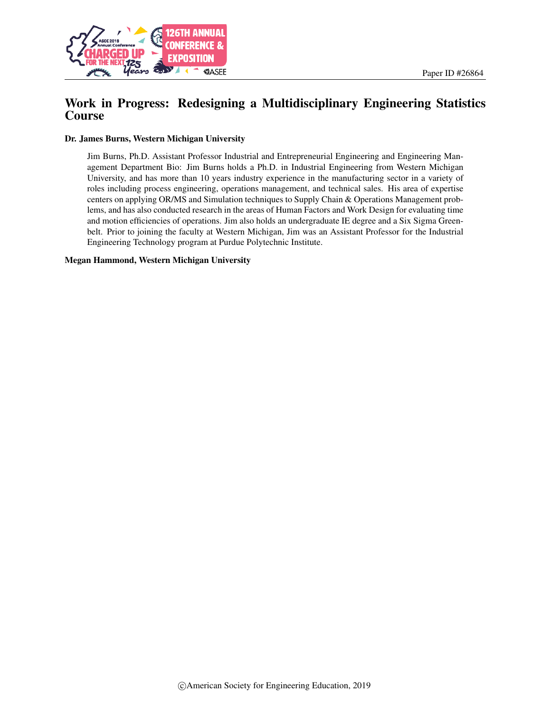

# Work in Progress: Redesigning a Multidisciplinary Engineering Statistics Course

#### Dr. James Burns, Western Michigan University

Jim Burns, Ph.D. Assistant Professor Industrial and Entrepreneurial Engineering and Engineering Management Department Bio: Jim Burns holds a Ph.D. in Industrial Engineering from Western Michigan University, and has more than 10 years industry experience in the manufacturing sector in a variety of roles including process engineering, operations management, and technical sales. His area of expertise centers on applying OR/MS and Simulation techniques to Supply Chain & Operations Management problems, and has also conducted research in the areas of Human Factors and Work Design for evaluating time and motion efficiencies of operations. Jim also holds an undergraduate IE degree and a Six Sigma Greenbelt. Prior to joining the faculty at Western Michigan, Jim was an Assistant Professor for the Industrial Engineering Technology program at Purdue Polytechnic Institute.

#### Megan Hammond, Western Michigan University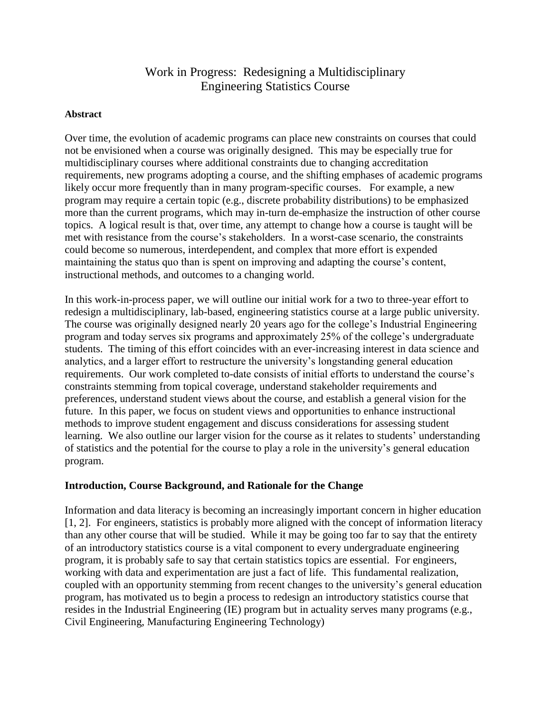# Work in Progress: Redesigning a Multidisciplinary Engineering Statistics Course

#### **Abstract**

Over time, the evolution of academic programs can place new constraints on courses that could not be envisioned when a course was originally designed. This may be especially true for multidisciplinary courses where additional constraints due to changing accreditation requirements, new programs adopting a course, and the shifting emphases of academic programs likely occur more frequently than in many program-specific courses. For example, a new program may require a certain topic (e.g., discrete probability distributions) to be emphasized more than the current programs, which may in-turn de-emphasize the instruction of other course topics. A logical result is that, over time, any attempt to change how a course is taught will be met with resistance from the course's stakeholders. In a worst-case scenario, the constraints could become so numerous, interdependent, and complex that more effort is expended maintaining the status quo than is spent on improving and adapting the course's content, instructional methods, and outcomes to a changing world.

In this work-in-process paper, we will outline our initial work for a two to three-year effort to redesign a multidisciplinary, lab-based, engineering statistics course at a large public university. The course was originally designed nearly 20 years ago for the college's Industrial Engineering program and today serves six programs and approximately 25% of the college's undergraduate students. The timing of this effort coincides with an ever-increasing interest in data science and analytics, and a larger effort to restructure the university's longstanding general education requirements. Our work completed to-date consists of initial efforts to understand the course's constraints stemming from topical coverage, understand stakeholder requirements and preferences, understand student views about the course, and establish a general vision for the future. In this paper, we focus on student views and opportunities to enhance instructional methods to improve student engagement and discuss considerations for assessing student learning. We also outline our larger vision for the course as it relates to students' understanding of statistics and the potential for the course to play a role in the university's general education program.

# **Introduction, Course Background, and Rationale for the Change**

Information and data literacy is becoming an increasingly important concern in higher education [1, 2]. For engineers, statistics is probably more aligned with the concept of information literacy than any other course that will be studied. While it may be going too far to say that the entirety of an introductory statistics course is a vital component to every undergraduate engineering program, it is probably safe to say that certain statistics topics are essential. For engineers, working with data and experimentation are just a fact of life. This fundamental realization, coupled with an opportunity stemming from recent changes to the university's general education program, has motivated us to begin a process to redesign an introductory statistics course that resides in the Industrial Engineering (IE) program but in actuality serves many programs (e.g., Civil Engineering, Manufacturing Engineering Technology)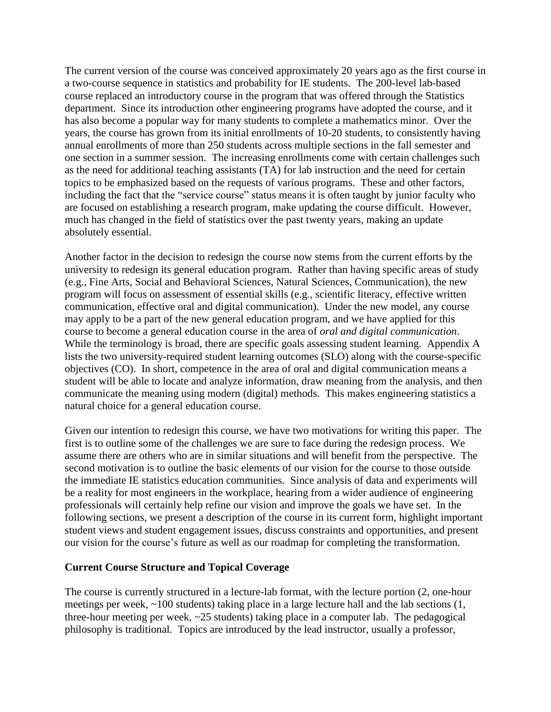The current version of the course was conceived approximately 20 years ago as the first course in a two-course sequence in statistics and probability for IE students. The 200-level lab-based course replaced an introductory course in the program that was offered through the Statistics department. Since its introduction other engineering programs have adopted the course, and it has also become a popular way for many students to complete a mathematics minor. Over the years, the course has grown from its initial enrollments of 10-20 students, to consistently having annual enrollments of more than 250 students across multiple sections in the fall semester and one section in a summer session. The increasing enrollments come with certain challenges such as the need for additional teaching assistants (TA) for lab instruction and the need for certain topics to be emphasized based on the requests of various programs. These and other factors, including the fact that the "service course" status means it is often taught by junior faculty who are focused on establishing a research program, make updating the course difficult. However, much has changed in the field of statistics over the past twenty years, making an update absolutely essential.

Another factor in the decision to redesign the course now stems from the current efforts by the university to redesign its general education program. Rather than having specific areas of study (e.g., Fine Arts, Social and Behavioral Sciences, Natural Sciences, Communication), the new program will focus on assessment of essential skills (e.g., scientific literacy, effective written communication, effective oral and digital communication). Under the new model, any course may apply to be a part of the new general education program, and we have applied for this course to become a general education course in the area of *oral and digital communication*. While the terminology is broad, there are specific goals assessing student learning. Appendix A lists the two university-required student learning outcomes (SLO) along with the course-specific objectives (CO). In short, competence in the area of oral and digital communication means a student will be able to locate and analyze information, draw meaning from the analysis, and then communicate the meaning using modern (digital) methods. This makes engineering statistics a natural choice for a general education course.

Given our intention to redesign this course, we have two motivations for writing this paper. The first is to outline some of the challenges we are sure to face during the redesign process. We assume there are others who are in similar situations and will benefit from the perspective. The second motivation is to outline the basic elements of our vision for the course to those outside the immediate IE statistics education communities. Since analysis of data and experiments will be a reality for most engineers in the workplace, hearing from a wider audience of engineering professionals will certainly help refine our vision and improve the goals we have set. In the following sections, we present a description of the course in its current form, highlight important student views and student engagement issues, discuss constraints and opportunities, and present our vision for the course's future as well as our roadmap for completing the transformation.

#### **Current Course Structure and Topical Coverage**

The course is currently structured in a lecture-lab format, with the lecture portion (2, one-hour meetings per week, ~100 students) taking place in a large lecture hall and the lab sections (1, three-hour meeting per week, ~25 students) taking place in a computer lab. The pedagogical philosophy is traditional. Topics are introduced by the lead instructor, usually a professor,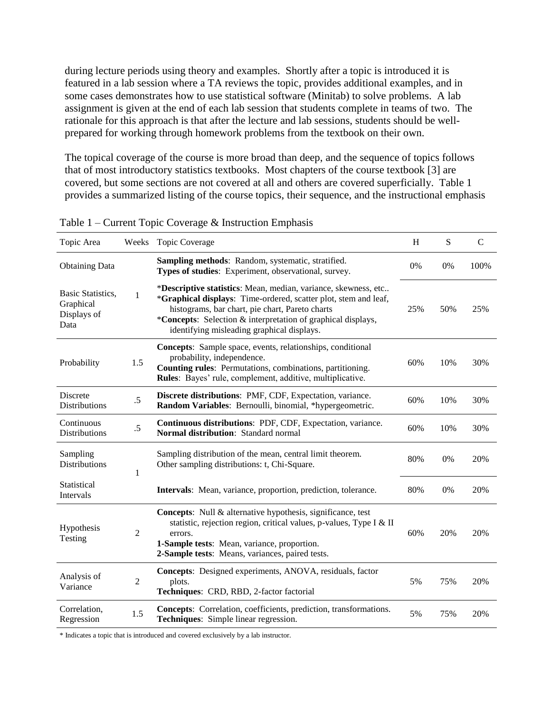during lecture periods using theory and examples. Shortly after a topic is introduced it is featured in a lab session where a TA reviews the topic, provides additional examples, and in some cases demonstrates how to use statistical software (Minitab) to solve problems. A lab assignment is given at the end of each lab session that students complete in teams of two. The rationale for this approach is that after the lecture and lab sessions, students should be wellprepared for working through homework problems from the textbook on their own.

The topical coverage of the course is more broad than deep, and the sequence of topics follows that of most introductory statistics textbooks. Most chapters of the course textbook [3] are covered, but some sections are not covered at all and others are covered superficially. Table 1 provides a summarized listing of the course topics, their sequence, and the instructional emphasis

| Topic Area                                            | Weeks          | <b>Topic Coverage</b>                                                                                                                                                                                                                                                                              | H   | S   | $\mathbf C$ |
|-------------------------------------------------------|----------------|----------------------------------------------------------------------------------------------------------------------------------------------------------------------------------------------------------------------------------------------------------------------------------------------------|-----|-----|-------------|
| <b>Obtaining Data</b>                                 |                | Sampling methods: Random, systematic, stratified.<br>Types of studies: Experiment, observational, survey.                                                                                                                                                                                          | 0%  | 0%  | 100%        |
| Basic Statistics.<br>Graphical<br>Displays of<br>Data | 1              | *Descriptive statistics: Mean, median, variance, skewness, etc<br>*Graphical displays: Time-ordered, scatter plot, stem and leaf,<br>histograms, bar chart, pie chart, Pareto charts<br>*Concepts: Selection & interpretation of graphical displays,<br>identifying misleading graphical displays. | 25% | 50% | 25%         |
| Probability                                           | 1.5            | Concepts: Sample space, events, relationships, conditional<br>probability, independence.<br>Counting rules: Permutations, combinations, partitioning.<br>Rules: Bayes' rule, complement, additive, multiplicative.                                                                                 | 60% | 10% | 30%         |
| Discrete<br>Distributions                             | .5             | Discrete distributions: PMF, CDF, Expectation, variance.<br>Random Variables: Bernoulli, binomial, *hypergeometric.                                                                                                                                                                                | 60% | 10% | 30%         |
| Continuous<br><b>Distributions</b>                    | $.5\,$         | Continuous distributions: PDF, CDF, Expectation, variance.<br>Normal distribution: Standard normal                                                                                                                                                                                                 | 60% | 10% | 30%         |
| Sampling<br><b>Distributions</b>                      | 1              | Sampling distribution of the mean, central limit theorem.<br>Other sampling distributions: t, Chi-Square.                                                                                                                                                                                          | 80% | 0%  | 20%         |
| Statistical<br>Intervals                              |                | Intervals: Mean, variance, proportion, prediction, tolerance.                                                                                                                                                                                                                                      | 80% | 0%  | 20%         |
| Hypothesis<br>Testing                                 | $\overline{2}$ | <b>Concepts:</b> Null & alternative hypothesis, significance, test<br>statistic, rejection region, critical values, p-values, Type I & II<br>errors.<br>1-Sample tests: Mean, variance, proportion.<br>2-Sample tests: Means, variances, paired tests.                                             | 60% | 20% | 20%         |
| Analysis of<br>Variance                               | 2              | <b>Concepts:</b> Designed experiments, ANOVA, residuals, factor<br>plots.<br>Techniques: CRD, RBD, 2-factor factorial                                                                                                                                                                              | 5%  | 75% | 20%         |
| Correlation,<br>Regression                            | 1.5            | Concepts: Correlation, coefficients, prediction, transformations.<br>Techniques: Simple linear regression.                                                                                                                                                                                         | 5%  | 75% | 20%         |

Table 1 – Current Topic Coverage & Instruction Emphasis

\* Indicates a topic that is introduced and covered exclusively by a lab instructor.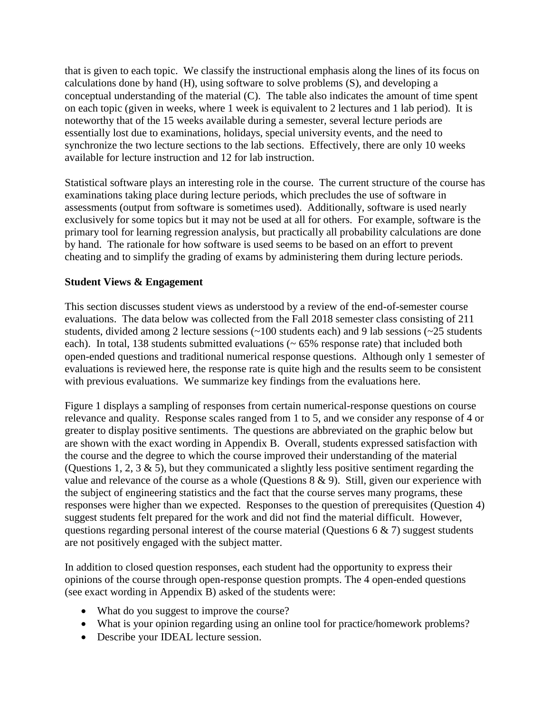that is given to each topic. We classify the instructional emphasis along the lines of its focus on calculations done by hand (H), using software to solve problems (S), and developing a conceptual understanding of the material (C). The table also indicates the amount of time spent on each topic (given in weeks, where 1 week is equivalent to 2 lectures and 1 lab period). It is noteworthy that of the 15 weeks available during a semester, several lecture periods are essentially lost due to examinations, holidays, special university events, and the need to synchronize the two lecture sections to the lab sections. Effectively, there are only 10 weeks available for lecture instruction and 12 for lab instruction.

Statistical software plays an interesting role in the course. The current structure of the course has examinations taking place during lecture periods, which precludes the use of software in assessments (output from software is sometimes used). Additionally, software is used nearly exclusively for some topics but it may not be used at all for others. For example, software is the primary tool for learning regression analysis, but practically all probability calculations are done by hand. The rationale for how software is used seems to be based on an effort to prevent cheating and to simplify the grading of exams by administering them during lecture periods.

# **Student Views & Engagement**

This section discusses student views as understood by a review of the end-of-semester course evaluations. The data below was collected from the Fall 2018 semester class consisting of 211 students, divided among 2 lecture sessions (~100 students each) and 9 lab sessions (~25 students each). In total, 138 students submitted evaluations (~ 65% response rate) that included both open-ended questions and traditional numerical response questions. Although only 1 semester of evaluations is reviewed here, the response rate is quite high and the results seem to be consistent with previous evaluations. We summarize key findings from the evaluations here.

Figure 1 displays a sampling of responses from certain numerical-response questions on course relevance and quality. Response scales ranged from 1 to 5, and we consider any response of 4 or greater to display positive sentiments. The questions are abbreviated on the graphic below but are shown with the exact wording in Appendix B. Overall, students expressed satisfaction with the course and the degree to which the course improved their understanding of the material (Questions 1, 2, 3  $\&$  5), but they communicated a slightly less positive sentiment regarding the value and relevance of the course as a whole (Questions  $8 \& 9$ ). Still, given our experience with the subject of engineering statistics and the fact that the course serves many programs, these responses were higher than we expected. Responses to the question of prerequisites (Question 4) suggest students felt prepared for the work and did not find the material difficult. However, questions regarding personal interest of the course material (Ouestions  $6 \& 7$ ) suggest students are not positively engaged with the subject matter.

In addition to closed question responses, each student had the opportunity to express their opinions of the course through open-response question prompts. The 4 open-ended questions (see exact wording in Appendix B) asked of the students were:

- What do you suggest to improve the course?
- What is your opinion regarding using an online tool for practice/homework problems?
- Describe your IDEAL lecture session.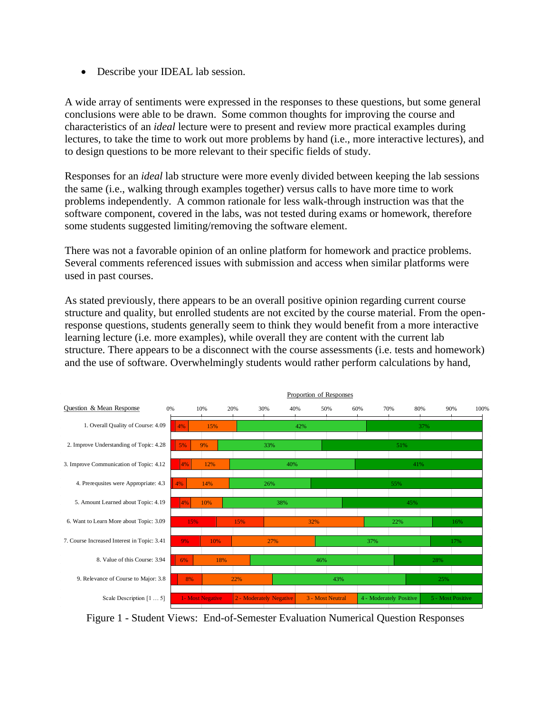• Describe your IDEAL lab session.

A wide array of sentiments were expressed in the responses to these questions, but some general conclusions were able to be drawn. Some common thoughts for improving the course and characteristics of an *ideal* lecture were to present and review more practical examples during lectures, to take the time to work out more problems by hand (i.e., more interactive lectures), and to design questions to be more relevant to their specific fields of study.

Responses for an *ideal* lab structure were more evenly divided between keeping the lab sessions the same (i.e., walking through examples together) versus calls to have more time to work problems independently. A common rationale for less walk-through instruction was that the software component, covered in the labs, was not tested during exams or homework, therefore some students suggested limiting/removing the software element.

There was not a favorable opinion of an online platform for homework and practice problems. Several comments referenced issues with submission and access when similar platforms were used in past courses.

As stated previously, there appears to be an overall positive opinion regarding current course structure and quality, but enrolled students are not excited by the course material. From the openresponse questions, students generally seem to think they would benefit from a more interactive learning lecture (i.e. more examples), while overall they are content with the current lab structure. There appears to be a disconnect with the course assessments (i.e. tests and homework) and the use of software. Overwhelmingly students would rather perform calculations by hand,



Figure 1 - Student Views: End-of-Semester Evaluation Numerical Question Responses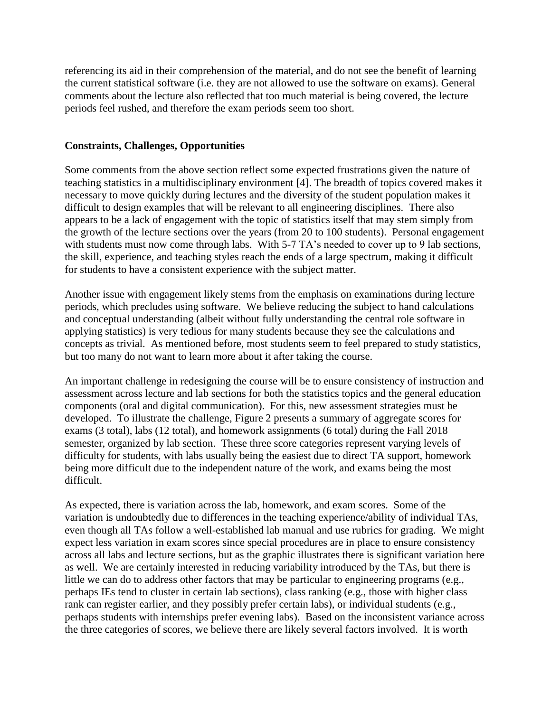referencing its aid in their comprehension of the material, and do not see the benefit of learning the current statistical software (i.e. they are not allowed to use the software on exams). General comments about the lecture also reflected that too much material is being covered, the lecture periods feel rushed, and therefore the exam periods seem too short.

### **Constraints, Challenges, Opportunities**

Some comments from the above section reflect some expected frustrations given the nature of teaching statistics in a multidisciplinary environment [4]. The breadth of topics covered makes it necessary to move quickly during lectures and the diversity of the student population makes it difficult to design examples that will be relevant to all engineering disciplines. There also appears to be a lack of engagement with the topic of statistics itself that may stem simply from the growth of the lecture sections over the years (from 20 to 100 students). Personal engagement with students must now come through labs. With 5-7 TA's needed to cover up to 9 lab sections, the skill, experience, and teaching styles reach the ends of a large spectrum, making it difficult for students to have a consistent experience with the subject matter.

Another issue with engagement likely stems from the emphasis on examinations during lecture periods, which precludes using software. We believe reducing the subject to hand calculations and conceptual understanding (albeit without fully understanding the central role software in applying statistics) is very tedious for many students because they see the calculations and concepts as trivial. As mentioned before, most students seem to feel prepared to study statistics, but too many do not want to learn more about it after taking the course.

An important challenge in redesigning the course will be to ensure consistency of instruction and assessment across lecture and lab sections for both the statistics topics and the general education components (oral and digital communication). For this, new assessment strategies must be developed. To illustrate the challenge, Figure 2 presents a summary of aggregate scores for exams (3 total), labs (12 total), and homework assignments (6 total) during the Fall 2018 semester, organized by lab section. These three score categories represent varying levels of difficulty for students, with labs usually being the easiest due to direct TA support, homework being more difficult due to the independent nature of the work, and exams being the most difficult.

As expected, there is variation across the lab, homework, and exam scores. Some of the variation is undoubtedly due to differences in the teaching experience/ability of individual TAs, even though all TAs follow a well-established lab manual and use rubrics for grading. We might expect less variation in exam scores since special procedures are in place to ensure consistency across all labs and lecture sections, but as the graphic illustrates there is significant variation here as well. We are certainly interested in reducing variability introduced by the TAs, but there is little we can do to address other factors that may be particular to engineering programs (e.g., perhaps IEs tend to cluster in certain lab sections), class ranking (e.g., those with higher class rank can register earlier, and they possibly prefer certain labs), or individual students (e.g., perhaps students with internships prefer evening labs). Based on the inconsistent variance across the three categories of scores, we believe there are likely several factors involved. It is worth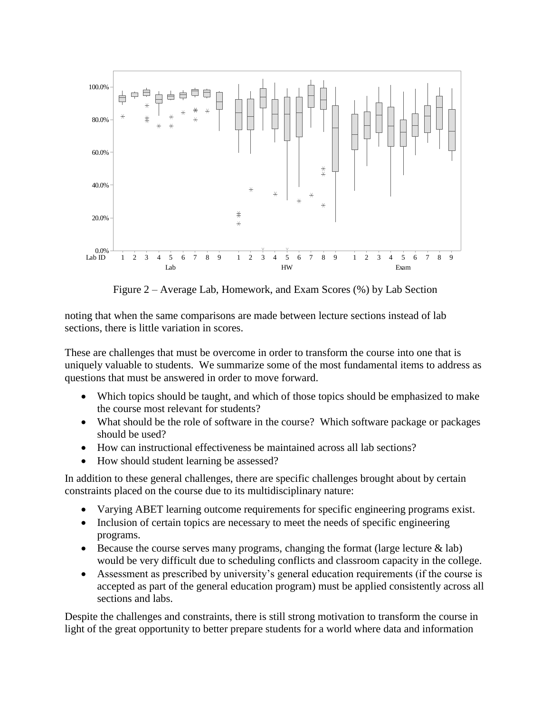

Figure 2 – Average Lab, Homework, and Exam Scores (%) by Lab Section

noting that when the same comparisons are made between lecture sections instead of lab sections, there is little variation in scores.

These are challenges that must be overcome in order to transform the course into one that is uniquely valuable to students. We summarize some of the most fundamental items to address as questions that must be answered in order to move forward.

- Which topics should be taught, and which of those topics should be emphasized to make the course most relevant for students?
- What should be the role of software in the course? Which software package or packages should be used?
- How can instructional effectiveness be maintained across all lab sections?
- How should student learning be assessed?

In addition to these general challenges, there are specific challenges brought about by certain constraints placed on the course due to its multidisciplinary nature:

- Varying ABET learning outcome requirements for specific engineering programs exist.
- Inclusion of certain topics are necessary to meet the needs of specific engineering programs.
- Because the course serves many programs, changing the format (large lecture  $\&$  lab) would be very difficult due to scheduling conflicts and classroom capacity in the college.
- Assessment as prescribed by university's general education requirements (if the course is accepted as part of the general education program) must be applied consistently across all sections and labs.

Despite the challenges and constraints, there is still strong motivation to transform the course in light of the great opportunity to better prepare students for a world where data and information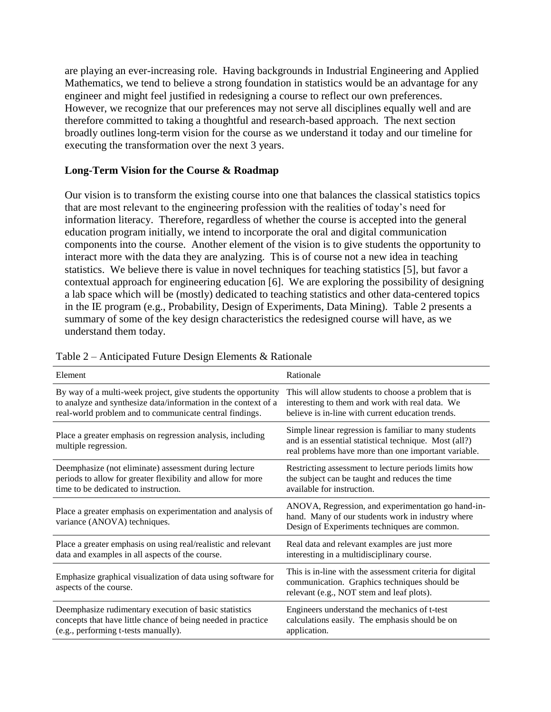are playing an ever-increasing role. Having backgrounds in Industrial Engineering and Applied Mathematics, we tend to believe a strong foundation in statistics would be an advantage for any engineer and might feel justified in redesigning a course to reflect our own preferences. However, we recognize that our preferences may not serve all disciplines equally well and are therefore committed to taking a thoughtful and research-based approach. The next section broadly outlines long-term vision for the course as we understand it today and our timeline for executing the transformation over the next 3 years.

#### **Long-Term Vision for the Course & Roadmap**

Our vision is to transform the existing course into one that balances the classical statistics topics that are most relevant to the engineering profession with the realities of today's need for information literacy. Therefore, regardless of whether the course is accepted into the general education program initially, we intend to incorporate the oral and digital communication components into the course. Another element of the vision is to give students the opportunity to interact more with the data they are analyzing. This is of course not a new idea in teaching statistics. We believe there is value in novel techniques for teaching statistics [5], but favor a contextual approach for engineering education [6]. We are exploring the possibility of designing a lab space which will be (mostly) dedicated to teaching statistics and other data-centered topics in the IE program (e.g., Probability, Design of Experiments, Data Mining). Table 2 presents a summary of some of the key design characteristics the redesigned course will have, as we understand them today.

| Element                                                                                     | Rationale                                                                                                                                                               |  |  |  |  |  |
|---------------------------------------------------------------------------------------------|-------------------------------------------------------------------------------------------------------------------------------------------------------------------------|--|--|--|--|--|
| By way of a multi-week project, give students the opportunity                               | This will allow students to choose a problem that is                                                                                                                    |  |  |  |  |  |
| to analyze and synthesize data/information in the context of a                              | interesting to them and work with real data. We                                                                                                                         |  |  |  |  |  |
| real-world problem and to communicate central findings.                                     | believe is in-line with current education trends.                                                                                                                       |  |  |  |  |  |
| Place a greater emphasis on regression analysis, including<br>multiple regression.          | Simple linear regression is familiar to many students<br>and is an essential statistical technique. Most (all?)<br>real problems have more than one important variable. |  |  |  |  |  |
| Deemphasize (not eliminate) assessment during lecture                                       | Restricting assessment to lecture periods limits how                                                                                                                    |  |  |  |  |  |
| periods to allow for greater flexibility and allow for more                                 | the subject can be taught and reduces the time                                                                                                                          |  |  |  |  |  |
| time to be dedicated to instruction.                                                        | available for instruction.                                                                                                                                              |  |  |  |  |  |
| Place a greater emphasis on experimentation and analysis of<br>variance (ANOVA) techniques. | ANOVA, Regression, and experimentation go hand-in-<br>hand. Many of our students work in industry where<br>Design of Experiments techniques are common.                 |  |  |  |  |  |
| Place a greater emphasis on using real/realistic and relevant                               | Real data and relevant examples are just more                                                                                                                           |  |  |  |  |  |
| data and examples in all aspects of the course.                                             | interesting in a multidisciplinary course.                                                                                                                              |  |  |  |  |  |
| Emphasize graphical visualization of data using software for<br>aspects of the course.      | This is in-line with the assessment criteria for digital<br>communication. Graphics techniques should be<br>relevant (e.g., NOT stem and leaf plots).                   |  |  |  |  |  |
| Deemphasize rudimentary execution of basic statistics                                       | Engineers understand the mechanics of t-test                                                                                                                            |  |  |  |  |  |
| concepts that have little chance of being needed in practice                                | calculations easily. The emphasis should be on                                                                                                                          |  |  |  |  |  |
| (e.g., performing t-tests manually).                                                        | application.                                                                                                                                                            |  |  |  |  |  |

## Table 2 – Anticipated Future Design Elements & Rationale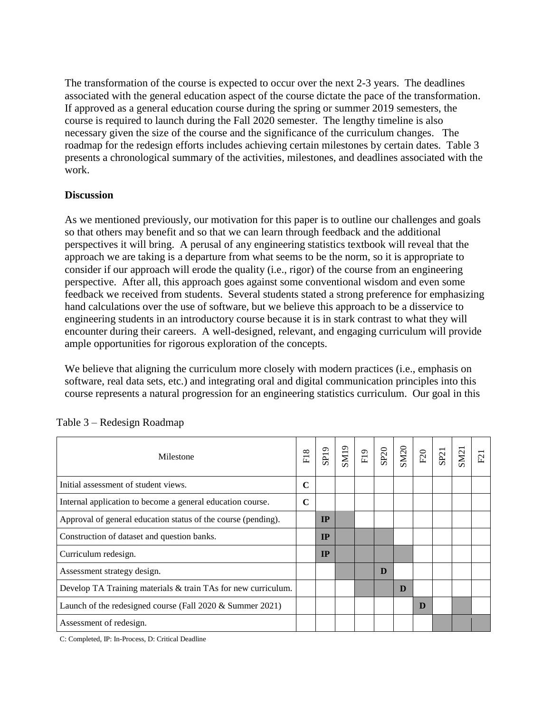The transformation of the course is expected to occur over the next 2-3 years. The deadlines associated with the general education aspect of the course dictate the pace of the transformation. If approved as a general education course during the spring or summer 2019 semesters, the course is required to launch during the Fall 2020 semester. The lengthy timeline is also necessary given the size of the course and the significance of the curriculum changes. The roadmap for the redesign efforts includes achieving certain milestones by certain dates. Table 3 presents a chronological summary of the activities, milestones, and deadlines associated with the work.

#### **Discussion**

As we mentioned previously, our motivation for this paper is to outline our challenges and goals so that others may benefit and so that we can learn through feedback and the additional perspectives it will bring. A perusal of any engineering statistics textbook will reveal that the approach we are taking is a departure from what seems to be the norm, so it is appropriate to consider if our approach will erode the quality (i.e., rigor) of the course from an engineering perspective. After all, this approach goes against some conventional wisdom and even some feedback we received from students. Several students stated a strong preference for emphasizing hand calculations over the use of software, but we believe this approach to be a disservice to engineering students in an introductory course because it is in stark contrast to what they will encounter during their careers. A well-designed, relevant, and engaging curriculum will provide ample opportunities for rigorous exploration of the concepts.

We believe that aligning the curriculum more closely with modern practices (i.e., emphasis on software, real data sets, etc.) and integrating oral and digital communication principles into this course represents a natural progression for an engineering statistics curriculum. Our goal in this

| Milestone                                                     |  | SP <sub>19</sub> | $\overline{\text{SM19}}$ | ${\rm F}19$ |   | $\begin{array}{c} \text{SP20} \\ \text{SM20} \end{array}$ | $\frac{1}{2}$ $\frac{1}{2}$ | SM21 | $\overline{\mathcal{L}}$ |
|---------------------------------------------------------------|--|------------------|--------------------------|-------------|---|-----------------------------------------------------------|-----------------------------|------|--------------------------|
| Initial assessment of student views.                          |  |                  |                          |             |   |                                                           |                             |      |                          |
| Internal application to become a general education course.    |  |                  |                          |             |   |                                                           |                             |      |                          |
| Approval of general education status of the course (pending). |  | IP               |                          |             |   |                                                           |                             |      |                          |
| Construction of dataset and question banks.                   |  | IP               |                          |             |   |                                                           |                             |      |                          |
| Curriculum redesign.                                          |  | IP               |                          |             |   |                                                           |                             |      |                          |
| Assessment strategy design.                                   |  |                  |                          |             | D |                                                           |                             |      |                          |
| Develop TA Training materials & train TAs for new curriculum. |  |                  |                          |             |   | D                                                         |                             |      |                          |
| Launch of the redesigned course (Fall $2020 \&$ Summer 2021)  |  |                  |                          |             |   |                                                           | D                           |      |                          |
| Assessment of redesign.                                       |  |                  |                          |             |   |                                                           |                             |      |                          |

#### Table 3 – Redesign Roadmap

C: Completed, IP: In-Process, D: Critical Deadline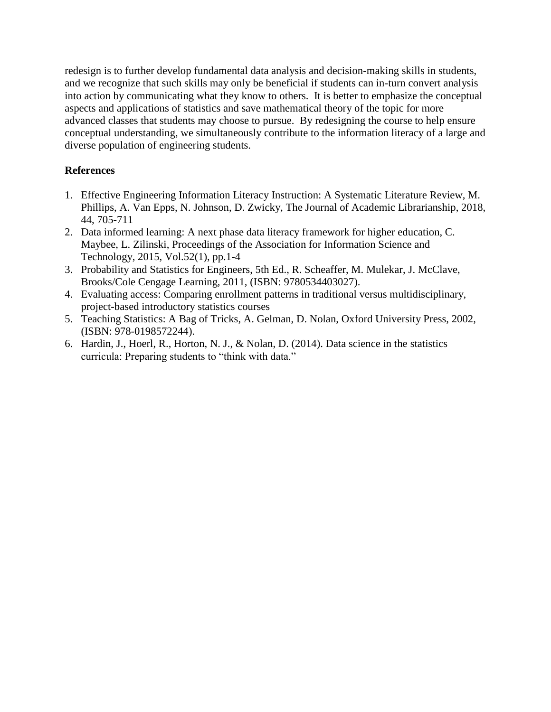redesign is to further develop fundamental data analysis and decision-making skills in students, and we recognize that such skills may only be beneficial if students can in-turn convert analysis into action by communicating what they know to others. It is better to emphasize the conceptual aspects and applications of statistics and save mathematical theory of the topic for more advanced classes that students may choose to pursue. By redesigning the course to help ensure conceptual understanding, we simultaneously contribute to the information literacy of a large and diverse population of engineering students.

# **References**

- 1. Effective Engineering Information Literacy Instruction: A Systematic Literature Review, M. Phillips, A. Van Epps, N. Johnson, D. Zwicky, The Journal of Academic Librarianship, 2018, 44, 705-711
- 2. Data informed learning: A next phase data literacy framework for higher education, C. Maybee, L. Zilinski, Proceedings of the Association for Information Science and Technology, 2015, Vol.52(1), pp.1-4
- 3. Probability and Statistics for Engineers, 5th Ed., R. Scheaffer, M. Mulekar, J. McClave, Brooks/Cole Cengage Learning, 2011, (ISBN: 9780534403027).
- 4. Evaluating access: Comparing enrollment patterns in traditional versus multidisciplinary, project-based introductory statistics courses
- 5. Teaching Statistics: A Bag of Tricks, A. Gelman, D. Nolan, Oxford University Press, 2002, (ISBN: 978-0198572244).
- 6. Hardin, J., Hoerl, R., Horton, N. J., & Nolan, D. (2014). Data science in the statistics curricula: Preparing students to "think with data."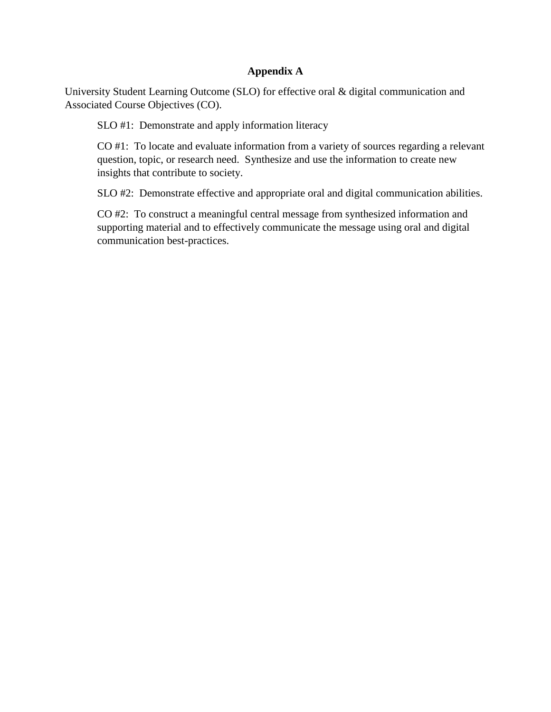### **Appendix A**

University Student Learning Outcome (SLO) for effective oral & digital communication and Associated Course Objectives (CO).

SLO #1: Demonstrate and apply information literacy

CO #1: To locate and evaluate information from a variety of sources regarding a relevant question, topic, or research need. Synthesize and use the information to create new insights that contribute to society.

SLO #2: Demonstrate effective and appropriate oral and digital communication abilities.

CO #2: To construct a meaningful central message from synthesized information and supporting material and to effectively communicate the message using oral and digital communication best-practices.